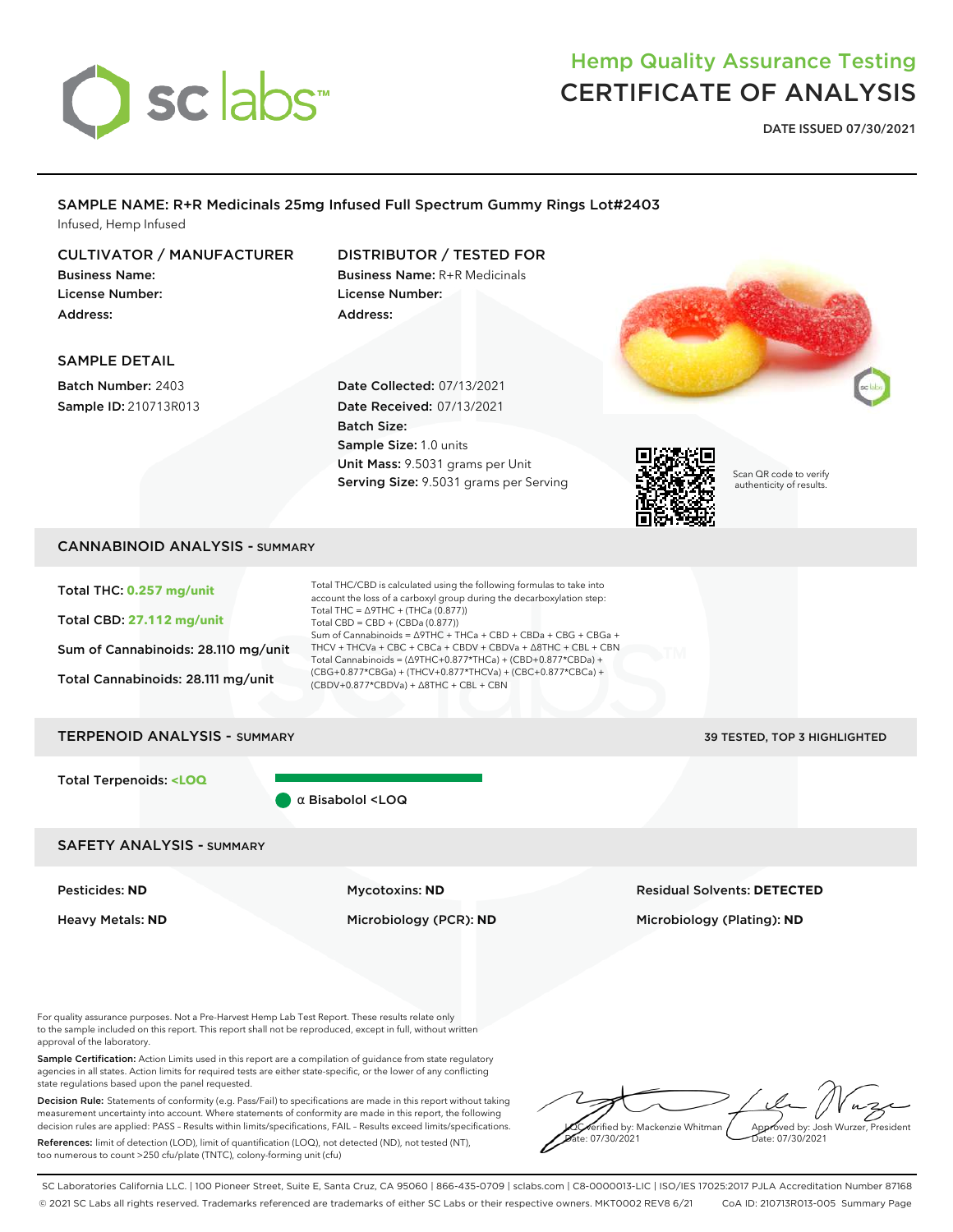# sclabs<sup>\*</sup>

## Hemp Quality Assurance Testing CERTIFICATE OF ANALYSIS

**DATE ISSUED 07/30/2021**

## SAMPLE NAME: R+R Medicinals 25mg Infused Full Spectrum Gummy Rings Lot#2403 Infused, Hemp Infused

## CULTIVATOR / MANUFACTURER

Business Name: License Number: Address:

## DISTRIBUTOR / TESTED FOR

Business Name: R+R Medicinals License Number: Address:

## SAMPLE DETAIL

Batch Number: 2403 Sample ID: 210713R013

Date Collected: 07/13/2021 Date Received: 07/13/2021 Batch Size: Sample Size: 1.0 units Unit Mass: 9.5031 grams per Unit Serving Size: 9.5031 grams per Serving



Scan QR code to verify authenticity of results.

## CANNABINOID ANALYSIS - SUMMARY

Total THC: **0.257 mg/unit**

Total CBD: **27.112 mg/unit**

Sum of Cannabinoids: 28.110 mg/unit

Total Cannabinoids: 28.111 mg/unit

| Total THC/CBD is calculated using the following formulas to take into     |
|---------------------------------------------------------------------------|
| account the loss of a carboxyl group during the decarboxylation step:     |
| Total THC = $\triangle$ 9THC + (THCa (0.877))                             |
| Total CBD = CBD + (CBDa (0.877))                                          |
| Sum of Cannabinoids = $\triangle$ 9THC + THCa + CBD + CBDa + CBG + CBGa + |
| THCV + THCVa + CBC + CBCa + CBDV + CBDVa + Δ8THC + CBL + CBN              |
| Total Cannabinoids = (Δ9THC+0.877*THCa) + (CBD+0.877*CBDa) +              |
| (CBG+0.877*CBGa) + (THCV+0.877*THCVa) + (CBC+0.877*CBCa) +                |
| (CBDV+0.877*CBDVa) + ∆8THC + CBL + CBN                                    |
|                                                                           |

#### TERPENOID ANALYSIS - SUMMARY 39 TESTED, TOP 3 HIGHLIGHTED

Total Terpenoids: **<LOQ**

α Bisabolol <LOQ

### SAFETY ANALYSIS - SUMMARY

#### Pesticides: **ND** Mycotoxins: **ND** Residual Solvents: **DETECTED**

Heavy Metals: **ND** Microbiology (PCR): **ND** Microbiology (Plating): **ND**

For quality assurance purposes. Not a Pre-Harvest Hemp Lab Test Report. These results relate only to the sample included on this report. This report shall not be reproduced, except in full, without written approval of the laboratory.

Sample Certification: Action Limits used in this report are a compilation of guidance from state regulatory agencies in all states. Action limits for required tests are either state-specific, or the lower of any conflicting state regulations based upon the panel requested.

Decision Rule: Statements of conformity (e.g. Pass/Fail) to specifications are made in this report without taking measurement uncertainty into account. Where statements of conformity are made in this report, the following decision rules are applied: PASS – Results within limits/specifications, FAIL – Results exceed limits/specifications.

References: limit of detection (LOD), limit of quantification (LOQ), not detected (ND), not tested (NT), too numerous to count >250 cfu/plate (TNTC), colony-forming unit (cfu)

**<u>Carified</u>** by: Mackenzie Whitman e: 07/30/2021 Approved by: Josh Wurzer, President Date: 07/30/2021

SC Laboratories California LLC. | 100 Pioneer Street, Suite E, Santa Cruz, CA 95060 | 866-435-0709 | sclabs.com | C8-0000013-LIC | ISO/IES 17025:2017 PJLA Accreditation Number 87168 © 2021 SC Labs all rights reserved. Trademarks referenced are trademarks of either SC Labs or their respective owners. MKT0002 REV8 6/21 CoA ID: 210713R013-005 Summary Page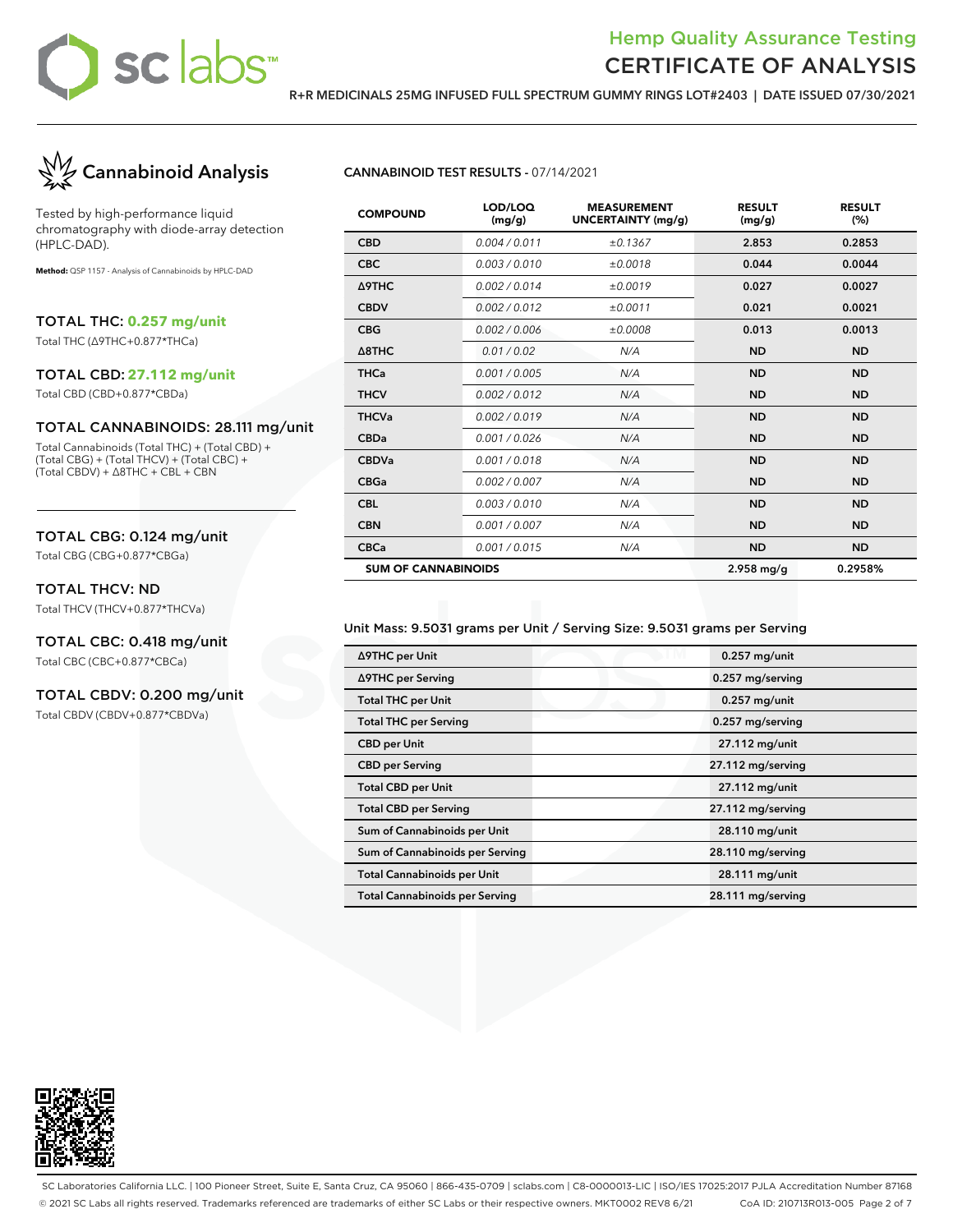

## Hemp Quality Assurance Testing CERTIFICATE OF ANALYSIS

**R+R MEDICINALS 25MG INFUSED FULL SPECTRUM GUMMY RINGS LOT#2403 | DATE ISSUED 07/30/2021**



Tested by high-performance liquid chromatography with diode-array detection (HPLC-DAD).

**Method:** QSP 1157 - Analysis of Cannabinoids by HPLC-DAD

TOTAL THC: **0.257 mg/unit**

Total THC (∆9THC+0.877\*THCa)

#### TOTAL CBD: **27.112 mg/unit**

Total CBD (CBD+0.877\*CBDa)

#### TOTAL CANNABINOIDS: 28.111 mg/unit

Total Cannabinoids (Total THC) + (Total CBD) + (Total CBG) + (Total THCV) + (Total CBC) + (Total CBDV) + ∆8THC + CBL + CBN

#### TOTAL CBG: 0.124 mg/unit

Total CBG (CBG+0.877\*CBGa)

#### TOTAL THCV: ND

Total THCV (THCV+0.877\*THCVa)

## TOTAL CBC: 0.418 mg/unit

Total CBC (CBC+0.877\*CBCa)

### TOTAL CBDV: 0.200 mg/unit

Total CBDV (CBDV+0.877\*CBDVa)

#### **CANNABINOID TEST RESULTS -** 07/14/2021

| <b>COMPOUND</b>            | LOD/LOQ<br>(mg/g) | <b>MEASUREMENT</b><br><b>UNCERTAINTY (mg/g)</b> | <b>RESULT</b><br>(mg/g) | <b>RESULT</b><br>(%) |
|----------------------------|-------------------|-------------------------------------------------|-------------------------|----------------------|
| <b>CBD</b>                 | 0.004 / 0.011     | ±0.1367                                         | 2.853                   | 0.2853               |
| <b>CBC</b>                 | 0.003/0.010       | ±0.0018                                         | 0.044                   | 0.0044               |
| Δ9THC                      | 0.002/0.014       | ±0.0019                                         | 0.027                   | 0.0027               |
| <b>CBDV</b>                | 0.002/0.012       | ±0.0011                                         | 0.021                   | 0.0021               |
| <b>CBG</b>                 | 0.002 / 0.006     | ±0.0008                                         | 0.013                   | 0.0013               |
| $\triangle$ 8THC           | 0.01 / 0.02       | N/A                                             | <b>ND</b>               | <b>ND</b>            |
| <b>THCa</b>                | 0.001 / 0.005     | N/A                                             | <b>ND</b>               | <b>ND</b>            |
| <b>THCV</b>                | 0.002 / 0.012     | N/A                                             | <b>ND</b>               | <b>ND</b>            |
| <b>THCVa</b>               | 0.002 / 0.019     | N/A                                             | <b>ND</b>               | <b>ND</b>            |
| <b>CBDa</b>                | 0.001/0.026       | N/A                                             | <b>ND</b>               | <b>ND</b>            |
| <b>CBDVa</b>               | 0.001/0.018       | N/A                                             | <b>ND</b>               | <b>ND</b>            |
| <b>CBGa</b>                | 0.002 / 0.007     | N/A                                             | <b>ND</b>               | <b>ND</b>            |
| <b>CBL</b>                 | 0.003/0.010       | N/A                                             | <b>ND</b>               | <b>ND</b>            |
| <b>CBN</b>                 | 0.001 / 0.007     | N/A                                             | <b>ND</b>               | <b>ND</b>            |
| <b>CBCa</b>                | 0.001 / 0.015     | N/A                                             | <b>ND</b>               | <b>ND</b>            |
| <b>SUM OF CANNABINOIDS</b> |                   |                                                 | $2.958$ mg/g            | 0.2958%              |

#### Unit Mass: 9.5031 grams per Unit / Serving Size: 9.5031 grams per Serving

| ∆9THC per Unit                        | $0.257$ mg/unit   |
|---------------------------------------|-------------------|
| ∆9THC per Serving                     | 0.257 mg/serving  |
| <b>Total THC per Unit</b>             | $0.257$ mg/unit   |
| <b>Total THC per Serving</b>          | 0.257 mg/serving  |
| <b>CBD</b> per Unit                   | 27.112 mg/unit    |
| <b>CBD per Serving</b>                | 27.112 mg/serving |
| <b>Total CBD per Unit</b>             | 27.112 mg/unit    |
| <b>Total CBD per Serving</b>          | 27.112 mg/serving |
| Sum of Cannabinoids per Unit          | 28.110 mg/unit    |
| Sum of Cannabinoids per Serving       | 28.110 mg/serving |
| <b>Total Cannabinoids per Unit</b>    | 28.111 mg/unit    |
| <b>Total Cannabinoids per Serving</b> | 28.111 mg/serving |



SC Laboratories California LLC. | 100 Pioneer Street, Suite E, Santa Cruz, CA 95060 | 866-435-0709 | sclabs.com | C8-0000013-LIC | ISO/IES 17025:2017 PJLA Accreditation Number 87168 © 2021 SC Labs all rights reserved. Trademarks referenced are trademarks of either SC Labs or their respective owners. MKT0002 REV8 6/21 CoA ID: 210713R013-005 Page 2 of 7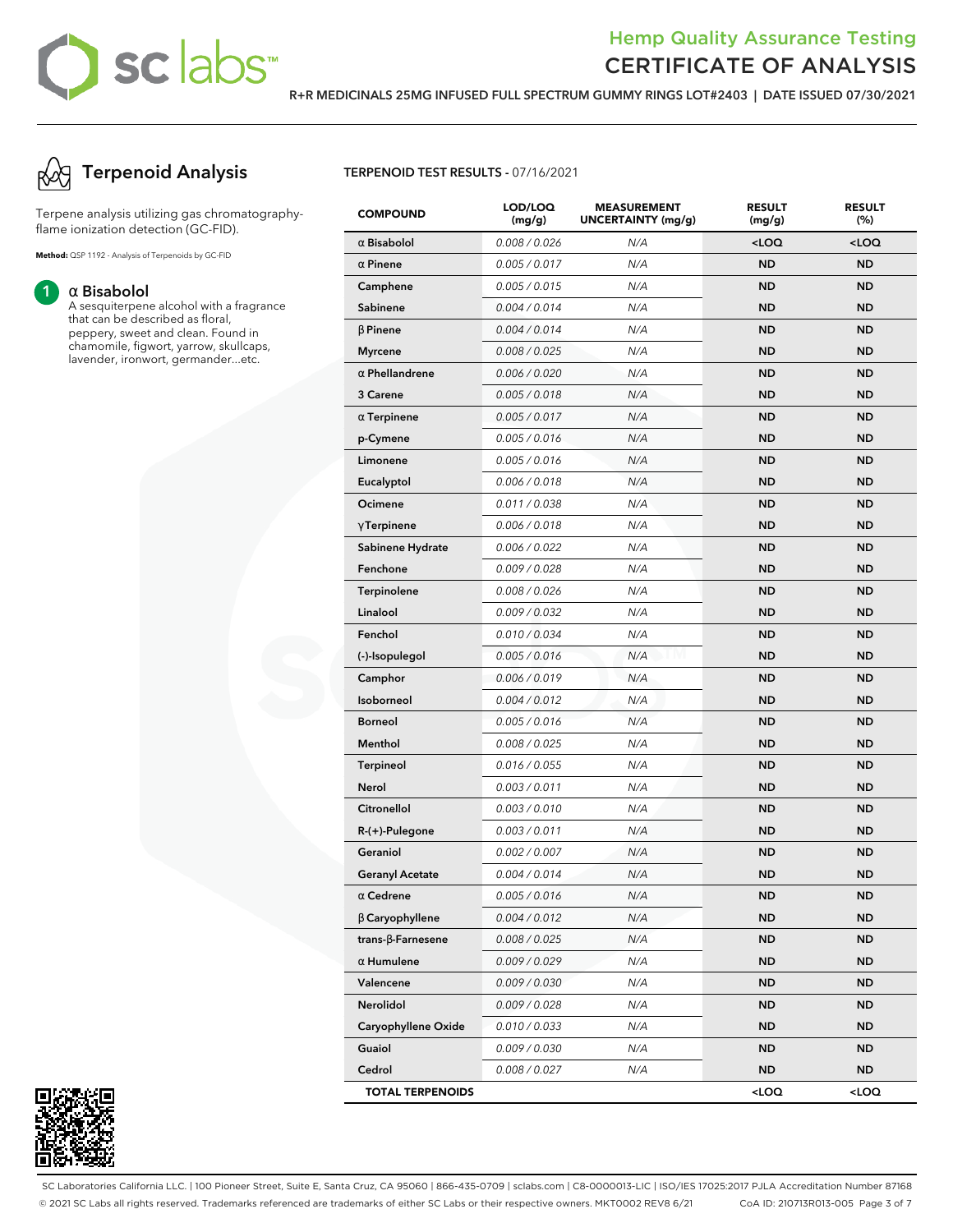## sc labs™

## Hemp Quality Assurance Testing CERTIFICATE OF ANALYSIS

**R+R MEDICINALS 25MG INFUSED FULL SPECTRUM GUMMY RINGS LOT#2403 | DATE ISSUED 07/30/2021**



Terpene analysis utilizing gas chromatographyflame ionization detection (GC-FID).

**Method:** QSP 1192 - Analysis of Terpenoids by GC-FID

#### **1** α **Bisabolol**

A sesquiterpene alcohol with a fragrance that can be described as floral, peppery, sweet and clean. Found in chamomile, figwort, yarrow, skullcaps, lavender, ironwort, germander...etc.

### **TERPENOID TEST RESULTS -** 07/16/2021

| <b>COMPOUND</b>           | LOD/LOQ<br>(mg/g) | <b>MEASUREMENT</b><br>UNCERTAINTY (mg/g) | <b>RESULT</b><br>(mg/g)                         | <b>RESULT</b><br>(%) |
|---------------------------|-------------------|------------------------------------------|-------------------------------------------------|----------------------|
| $\alpha$ Bisabolol        | 0.008 / 0.026     | N/A                                      | $<$ LOQ                                         | <loq< th=""></loq<>  |
| $\alpha$ Pinene           | 0.005 / 0.017     | N/A                                      | <b>ND</b>                                       | <b>ND</b>            |
| Camphene                  | 0.005 / 0.015     | N/A                                      | ND                                              | <b>ND</b>            |
| Sabinene                  | 0.004 / 0.014     | N/A                                      | ND                                              | <b>ND</b>            |
| $\beta$ Pinene            | 0.004 / 0.014     | N/A                                      | <b>ND</b>                                       | <b>ND</b>            |
| <b>Myrcene</b>            | 0.008 / 0.025     | N/A                                      | ND                                              | <b>ND</b>            |
| $\alpha$ Phellandrene     | 0.006 / 0.020     | N/A                                      | ND                                              | <b>ND</b>            |
| 3 Carene                  | 0.005 / 0.018     | N/A                                      | <b>ND</b>                                       | <b>ND</b>            |
| $\alpha$ Terpinene        | 0.005 / 0.017     | N/A                                      | ND                                              | ND                   |
| p-Cymene                  | 0.005 / 0.016     | N/A                                      | ND                                              | <b>ND</b>            |
| Limonene                  | 0.005 / 0.016     | N/A                                      | <b>ND</b>                                       | <b>ND</b>            |
| Eucalyptol                | 0.006 / 0.018     | N/A                                      | ND                                              | <b>ND</b>            |
| Ocimene                   | 0.011 / 0.038     | N/A                                      | ND                                              | <b>ND</b>            |
| $\gamma$ Terpinene        | 0.006 / 0.018     | N/A                                      | <b>ND</b>                                       | <b>ND</b>            |
| Sabinene Hydrate          | 0.006 / 0.022     | N/A                                      | ND                                              | ND                   |
| Fenchone                  | 0.009 / 0.028     | N/A                                      | ND                                              | <b>ND</b>            |
| <b>Terpinolene</b>        | 0.008 / 0.026     | N/A                                      | <b>ND</b>                                       | <b>ND</b>            |
| Linalool                  | 0.009 / 0.032     | N/A                                      | ND                                              | <b>ND</b>            |
| Fenchol                   | 0.010 / 0.034     | N/A                                      | ND                                              | <b>ND</b>            |
| (-)-Isopulegol            | 0.005 / 0.016     | N/A                                      | <b>ND</b>                                       | <b>ND</b>            |
| Camphor                   | 0.006 / 0.019     | N/A                                      | ND                                              | ND                   |
| Isoborneol                | 0.004 / 0.012     | N/A                                      | ND                                              | <b>ND</b>            |
| <b>Borneol</b>            | 0.005 / 0.016     | N/A                                      | <b>ND</b>                                       | <b>ND</b>            |
| Menthol                   | 0.008 / 0.025     | N/A                                      | ND                                              | ND                   |
| <b>Terpineol</b>          | 0.016 / 0.055     | N/A                                      | ND                                              | <b>ND</b>            |
| Nerol                     | 0.003 / 0.011     | N/A                                      | <b>ND</b>                                       | <b>ND</b>            |
| Citronellol               | 0.003 / 0.010     | N/A                                      | ND                                              | ND                   |
| R-(+)-Pulegone            | 0.003 / 0.011     | N/A                                      | ND                                              | <b>ND</b>            |
| Geraniol                  | 0.002 / 0.007     | N/A                                      | <b>ND</b>                                       | <b>ND</b>            |
| <b>Geranyl Acetate</b>    | 0.004 / 0.014     | N/A                                      | ND                                              | ND                   |
| $\alpha$ Cedrene          | 0.005 / 0.016     | N/A                                      | ND,                                             | ND,                  |
| <b>B</b> Caryophyllene    | 0.004 / 0.012     | N/A                                      | ND                                              | ND                   |
| trans- $\beta$ -Farnesene | 0.008 / 0.025     | N/A                                      | <b>ND</b>                                       | ND                   |
| $\alpha$ Humulene         | 0.009 / 0.029     | N/A                                      | ND                                              | ND                   |
| Valencene                 | 0.009 / 0.030     | N/A                                      | ND                                              | ND                   |
| Nerolidol                 | 0.009 / 0.028     | N/A                                      | ND                                              | ND                   |
| Caryophyllene Oxide       | 0.010 / 0.033     | N/A                                      | ND                                              | ND.                  |
| Guaiol                    | 0.009 / 0.030     | N/A                                      | ND                                              | ND                   |
| Cedrol                    | 0.008 / 0.027     | N/A                                      | <b>ND</b>                                       | ND                   |
| <b>TOTAL TERPENOIDS</b>   |                   |                                          | <loq< th=""><th><loq< th=""></loq<></th></loq<> | <loq< th=""></loq<>  |



SC Laboratories California LLC. | 100 Pioneer Street, Suite E, Santa Cruz, CA 95060 | 866-435-0709 | sclabs.com | C8-0000013-LIC | ISO/IES 17025:2017 PJLA Accreditation Number 87168 © 2021 SC Labs all rights reserved. Trademarks referenced are trademarks of either SC Labs or their respective owners. MKT0002 REV8 6/21 CoA ID: 210713R013-005 Page 3 of 7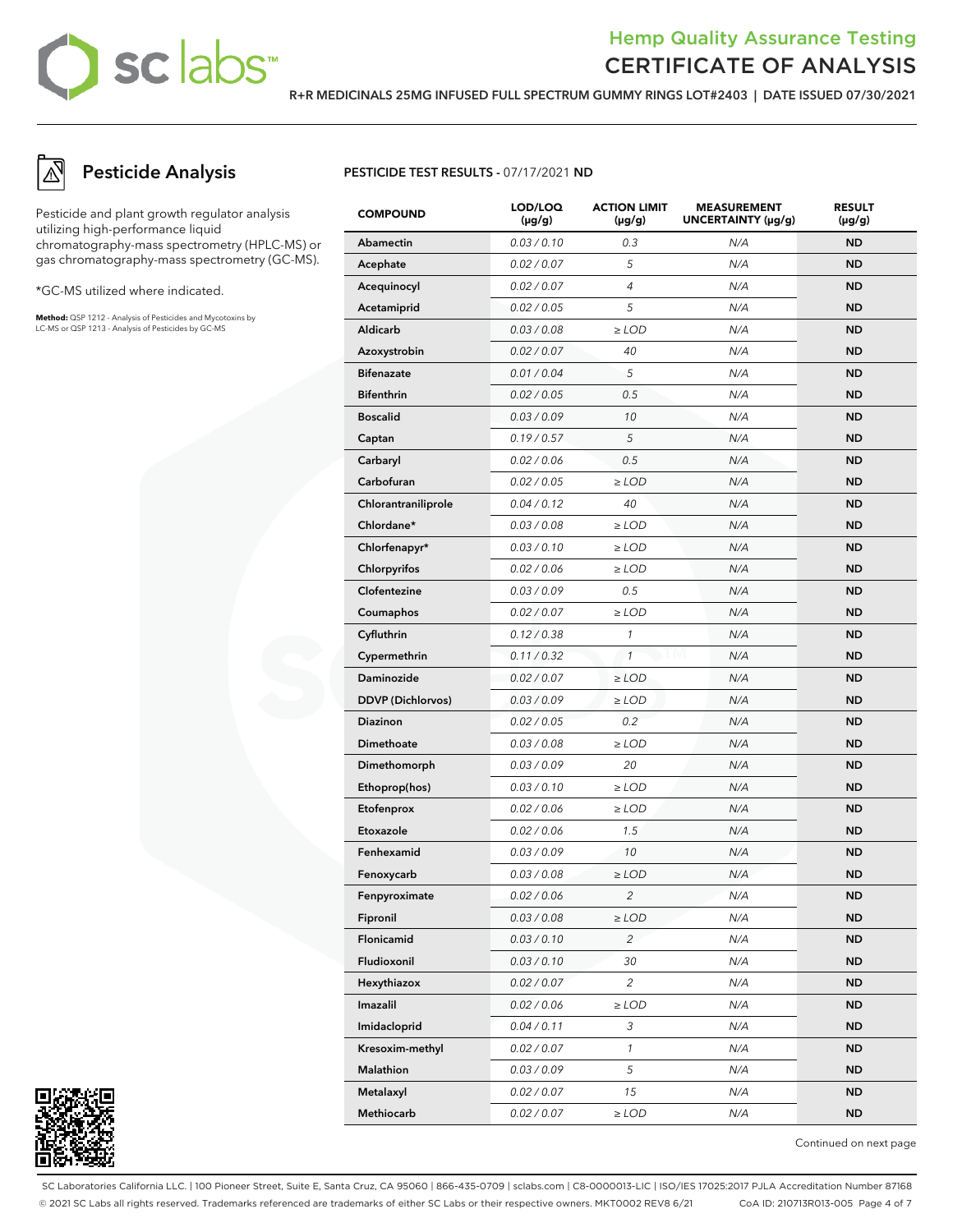## sclabs<sup>\*</sup>

## Hemp Quality Assurance Testing CERTIFICATE OF ANALYSIS

**R+R MEDICINALS 25MG INFUSED FULL SPECTRUM GUMMY RINGS LOT#2403 | DATE ISSUED 07/30/2021**

## **Pesticide Analysis**

Pesticide and plant growth regulator analysis utilizing high-performance liquid chromatography-mass spectrometry (HPLC-MS) or gas chromatography-mass spectrometry (GC-MS).

\*GC-MS utilized where indicated.

**Method:** QSP 1212 - Analysis of Pesticides and Mycotoxins by LC-MS or QSP 1213 - Analysis of Pesticides by GC-MS

## **PESTICIDE TEST RESULTS -** 07/17/2021 **ND**

| <b>COMPOUND</b>          | LOD/LOQ<br>$(\mu g/g)$ | <b>ACTION LIMIT</b><br>$(\mu g/g)$ | <b>MEASUREMENT</b><br>UNCERTAINTY (µg/g) | <b>RESULT</b><br>$(\mu g/g)$ |
|--------------------------|------------------------|------------------------------------|------------------------------------------|------------------------------|
| <b>Abamectin</b>         | 0.03 / 0.10            | 0.3                                | N/A                                      | <b>ND</b>                    |
| Acephate                 | 0.02 / 0.07            | 5                                  | N/A                                      | <b>ND</b>                    |
| Acequinocyl              | 0.02 / 0.07            | $\overline{4}$                     | N/A                                      | ND                           |
| Acetamiprid              | 0.02 / 0.05            | 5                                  | N/A                                      | ND                           |
| Aldicarb                 | 0.03 / 0.08            | $\ge$ LOD                          | N/A                                      | ND                           |
| Azoxystrobin             | 0.02 / 0.07            | 40                                 | N/A                                      | <b>ND</b>                    |
| <b>Bifenazate</b>        | 0.01 / 0.04            | 5                                  | N/A                                      | <b>ND</b>                    |
| <b>Bifenthrin</b>        | 0.02 / 0.05            | 0.5                                | N/A                                      | <b>ND</b>                    |
| <b>Boscalid</b>          | 0.03 / 0.09            | 10                                 | N/A                                      | ND                           |
| Captan                   | 0.19/0.57              | 5                                  | N/A                                      | ND                           |
| Carbaryl                 | 0.02 / 0.06            | 0.5                                | N/A                                      | ND                           |
| Carbofuran               | 0.02 / 0.05            | $\geq$ LOD                         | N/A                                      | <b>ND</b>                    |
| Chlorantraniliprole      | 0.04 / 0.12            | 40                                 | N/A                                      | <b>ND</b>                    |
| Chlordane*               | 0.03 / 0.08            | $\geq$ LOD                         | N/A                                      | <b>ND</b>                    |
| Chlorfenapyr*            | 0.03 / 0.10            | $\geq$ LOD                         | N/A                                      | ND                           |
| Chlorpyrifos             | 0.02 / 0.06            | $\geq$ LOD                         | N/A                                      | ND                           |
| Clofentezine             | 0.03 / 0.09            | 0.5                                | N/A                                      | ND                           |
| Coumaphos                | 0.02 / 0.07            | $\geq$ LOD                         | N/A                                      | <b>ND</b>                    |
| Cyfluthrin               | 0.12 / 0.38            | 1                                  | N/A                                      | <b>ND</b>                    |
| Cypermethrin             | 0.11 / 0.32            | $\mathbf{1}$                       | N/A                                      | <b>ND</b>                    |
| Daminozide               | 0.02 / 0.07            | $\geq$ LOD                         | N/A                                      | ND                           |
| <b>DDVP</b> (Dichlorvos) | 0.03 / 0.09            | $\geq$ LOD                         | N/A                                      | ND                           |
| Diazinon                 | 0.02 / 0.05            | 0.2                                | N/A                                      | ND                           |
| Dimethoate               | 0.03 / 0.08            | $\ge$ LOD                          | N/A                                      | <b>ND</b>                    |
| Dimethomorph             | 0.03 / 0.09            | 20                                 | N/A                                      | <b>ND</b>                    |
| Ethoprop(hos)            | 0.03 / 0.10            | $\geq$ LOD                         | N/A                                      | <b>ND</b>                    |
| Etofenprox               | 0.02 / 0.06            | $\ge$ LOD                          | N/A                                      | ND                           |
| Etoxazole                | 0.02 / 0.06            | 1.5                                | N/A                                      | ND                           |
| Fenhexamid               | 0.03 / 0.09            | 10                                 | N/A                                      | <b>ND</b>                    |
| Fenoxycarb               | 0.03 / 0.08            | $\geq$ LOD                         | N/A                                      | ND                           |
| Fenpyroximate            | 0.02 / 0.06            | 2                                  | N/A                                      | <b>ND</b>                    |
| Fipronil                 | 0.03 / 0.08            | $\geq$ LOD                         | N/A                                      | <b>ND</b>                    |
| Flonicamid               | 0.03 / 0.10            | $\overline{c}$                     | N/A                                      | <b>ND</b>                    |
| Fludioxonil              | 0.03 / 0.10            | 30                                 | N/A                                      | ND.                          |
| Hexythiazox              | 0.02 / 0.07            | $\overline{c}$                     | N/A                                      | ND.                          |
| Imazalil                 | 0.02 / 0.06            | $\geq$ LOD                         | N/A                                      | <b>ND</b>                    |
| Imidacloprid             | 0.04 / 0.11            | 3                                  | N/A                                      | ND.                          |
| Kresoxim-methyl          | 0.02 / 0.07            | $\mathcal{I}$                      | N/A                                      | ND.                          |
| Malathion                | 0.03 / 0.09            | 5                                  | N/A                                      | <b>ND</b>                    |
| Metalaxyl                | 0.02 / 0.07            | 15                                 | N/A                                      | ND.                          |
| Methiocarb               | 0.02 / 0.07            | $\geq$ LOD                         | N/A                                      | <b>ND</b>                    |



Continued on next page

SC Laboratories California LLC. | 100 Pioneer Street, Suite E, Santa Cruz, CA 95060 | 866-435-0709 | sclabs.com | C8-0000013-LIC | ISO/IES 17025:2017 PJLA Accreditation Number 87168 © 2021 SC Labs all rights reserved. Trademarks referenced are trademarks of either SC Labs or their respective owners. MKT0002 REV8 6/21 CoA ID: 210713R013-005 Page 4 of 7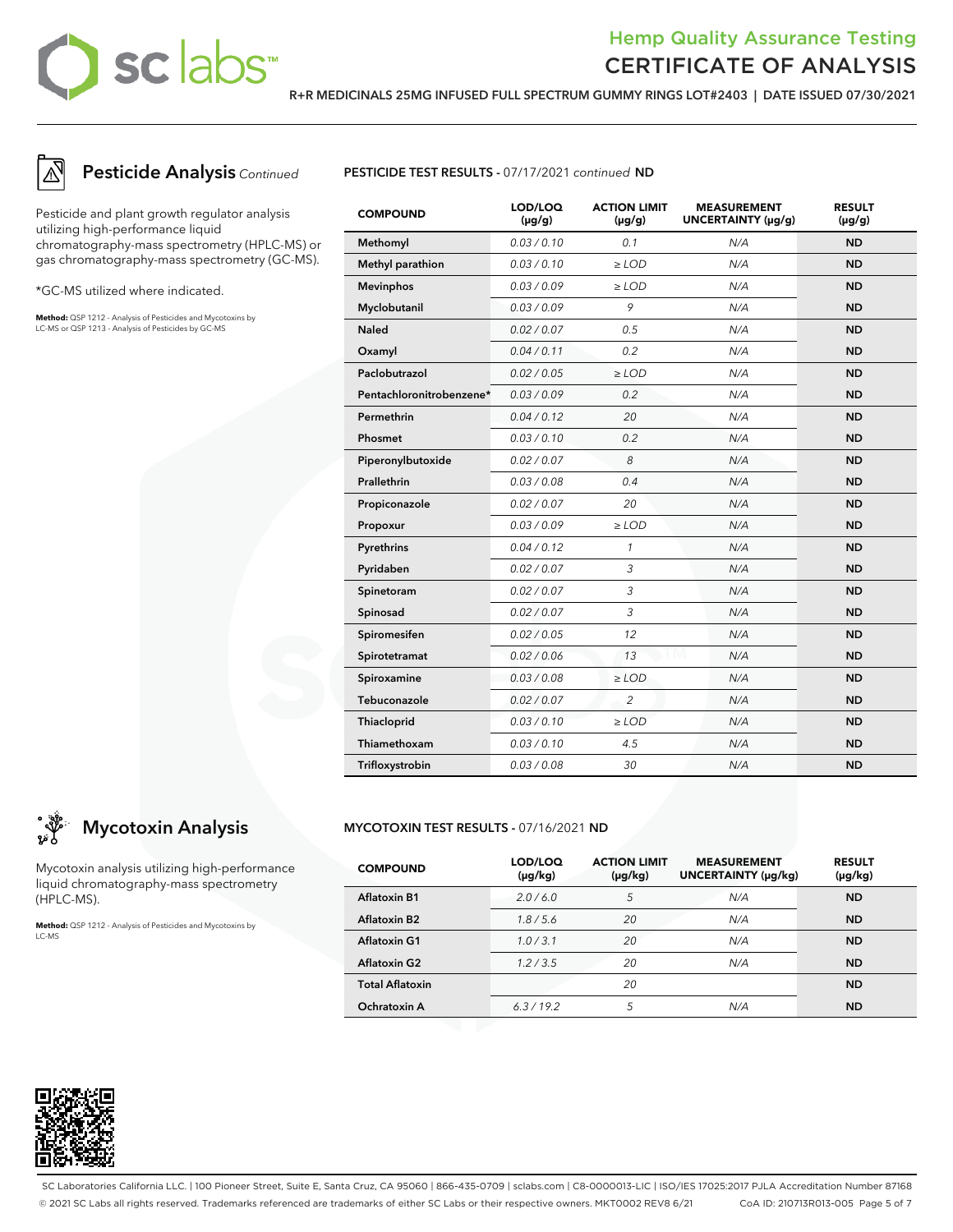## sclabs<sup>\*</sup>

## Hemp Quality Assurance Testing CERTIFICATE OF ANALYSIS

**R+R MEDICINALS 25MG INFUSED FULL SPECTRUM GUMMY RINGS LOT#2403 | DATE ISSUED 07/30/2021**



## **Pesticide Analysis** Continued

Pesticide and plant growth regulator analysis utilizing high-performance liquid chromatography-mass spectrometry (HPLC-MS) or gas chromatography-mass spectrometry (GC-MS).

\*GC-MS utilized where indicated.

**Method:** QSP 1212 - Analysis of Pesticides and Mycotoxins by LC-MS or QSP 1213 - Analysis of Pesticides by GC-MS

**Mycotoxin Analysis**

Mycotoxin analysis utilizing high-performance liquid chromatography-mass spectrometry

**Method:** QSP 1212 - Analysis of Pesticides and Mycotoxins by



| <b>COMPOUND</b>          | LOD/LOQ<br>$(\mu g/g)$ | <b>ACTION LIMIT</b><br>$(\mu g/g)$ | <b>MEASUREMENT</b><br>UNCERTAINTY (µg/g) | <b>RESULT</b><br>$(\mu g/g)$ |
|--------------------------|------------------------|------------------------------------|------------------------------------------|------------------------------|
| Methomyl                 | 0.03 / 0.10            | 0.1                                | N/A                                      | <b>ND</b>                    |
| Methyl parathion         | 0.03/0.10              | $\ge$ LOD                          | N/A                                      | <b>ND</b>                    |
| <b>Mevinphos</b>         | 0.03 / 0.09            | $\ge$ LOD                          | N/A                                      | <b>ND</b>                    |
| Myclobutanil             | 0.03/0.09              | 9                                  | N/A                                      | <b>ND</b>                    |
| <b>Naled</b>             | 0.02 / 0.07            | 0.5                                | N/A                                      | <b>ND</b>                    |
| Oxamyl                   | 0.04 / 0.11            | 0.2                                | N/A                                      | <b>ND</b>                    |
| Paclobutrazol            | 0.02 / 0.05            | $\ge$ LOD                          | N/A                                      | <b>ND</b>                    |
| Pentachloronitrobenzene* | 0.03 / 0.09            | 0.2                                | N/A                                      | <b>ND</b>                    |
| Permethrin               | 0.04 / 0.12            | 20                                 | N/A                                      | <b>ND</b>                    |
| Phosmet                  | 0.03 / 0.10            | 0.2                                | N/A                                      | <b>ND</b>                    |
| Piperonylbutoxide        | 0.02 / 0.07            | 8                                  | N/A                                      | <b>ND</b>                    |
| Prallethrin              | 0.03 / 0.08            | 0.4                                | N/A                                      | <b>ND</b>                    |
| Propiconazole            | 0.02 / 0.07            | 20                                 | N/A                                      | <b>ND</b>                    |
| Propoxur                 | 0.03/0.09              | $\ge$ LOD                          | N/A                                      | <b>ND</b>                    |
| Pyrethrins               | 0.04 / 0.12            | $\mathcal{I}$                      | N/A                                      | <b>ND</b>                    |
| Pyridaben                | 0.02 / 0.07            | 3                                  | N/A                                      | <b>ND</b>                    |
| Spinetoram               | 0.02 / 0.07            | 3                                  | N/A                                      | <b>ND</b>                    |
| Spinosad                 | 0.02 / 0.07            | 3                                  | N/A                                      | <b>ND</b>                    |
| Spiromesifen             | 0.02 / 0.05            | 12                                 | N/A                                      | <b>ND</b>                    |
| Spirotetramat            | 0.02 / 0.06            | 13                                 | N/A                                      | <b>ND</b>                    |
| Spiroxamine              | 0.03 / 0.08            | $\ge$ LOD                          | N/A                                      | <b>ND</b>                    |
| Tebuconazole             | 0.02 / 0.07            | $\overline{2}$                     | N/A                                      | <b>ND</b>                    |
| Thiacloprid              | 0.03 / 0.10            | $\geq$ LOD                         | N/A                                      | <b>ND</b>                    |
| Thiamethoxam             | 0.03/0.10              | 4.5                                | N/A                                      | <b>ND</b>                    |
| Trifloxystrobin          | 0.03 / 0.08            | 30                                 | N/A                                      | <b>ND</b>                    |

## **MYCOTOXIN TEST RESULTS -** 07/16/2021 **ND**

| <b>COMPOUND</b>          | LOD/LOQ<br>$(\mu g/kg)$ | <b>ACTION LIMIT</b><br>$(\mu g/kg)$ | <b>MEASUREMENT</b><br>UNCERTAINTY (µg/kg) | <b>RESULT</b><br>(µg/kg) |
|--------------------------|-------------------------|-------------------------------------|-------------------------------------------|--------------------------|
| <b>Aflatoxin B1</b>      | 2.0/6.0                 | 5                                   | N/A                                       | <b>ND</b>                |
| Aflatoxin B <sub>2</sub> | 1.8/5.6                 | 20                                  | N/A                                       | <b>ND</b>                |
| Aflatoxin G1             | 1.0/3.1                 | 20                                  | N/A                                       | <b>ND</b>                |
| <b>Aflatoxin G2</b>      | 1.2 / 3.5               | 20                                  | N/A                                       | <b>ND</b>                |
| <b>Total Aflatoxin</b>   |                         | 20                                  |                                           | <b>ND</b>                |
| Ochratoxin A             | 6.3/19.2                | 5                                   | N/A                                       | <b>ND</b>                |



(HPLC-MS).

LC-MS

SC Laboratories California LLC. | 100 Pioneer Street, Suite E, Santa Cruz, CA 95060 | 866-435-0709 | sclabs.com | C8-0000013-LIC | ISO/IES 17025:2017 PJLA Accreditation Number 87168 © 2021 SC Labs all rights reserved. Trademarks referenced are trademarks of either SC Labs or their respective owners. MKT0002 REV8 6/21 CoA ID: 210713R013-005 Page 5 of 7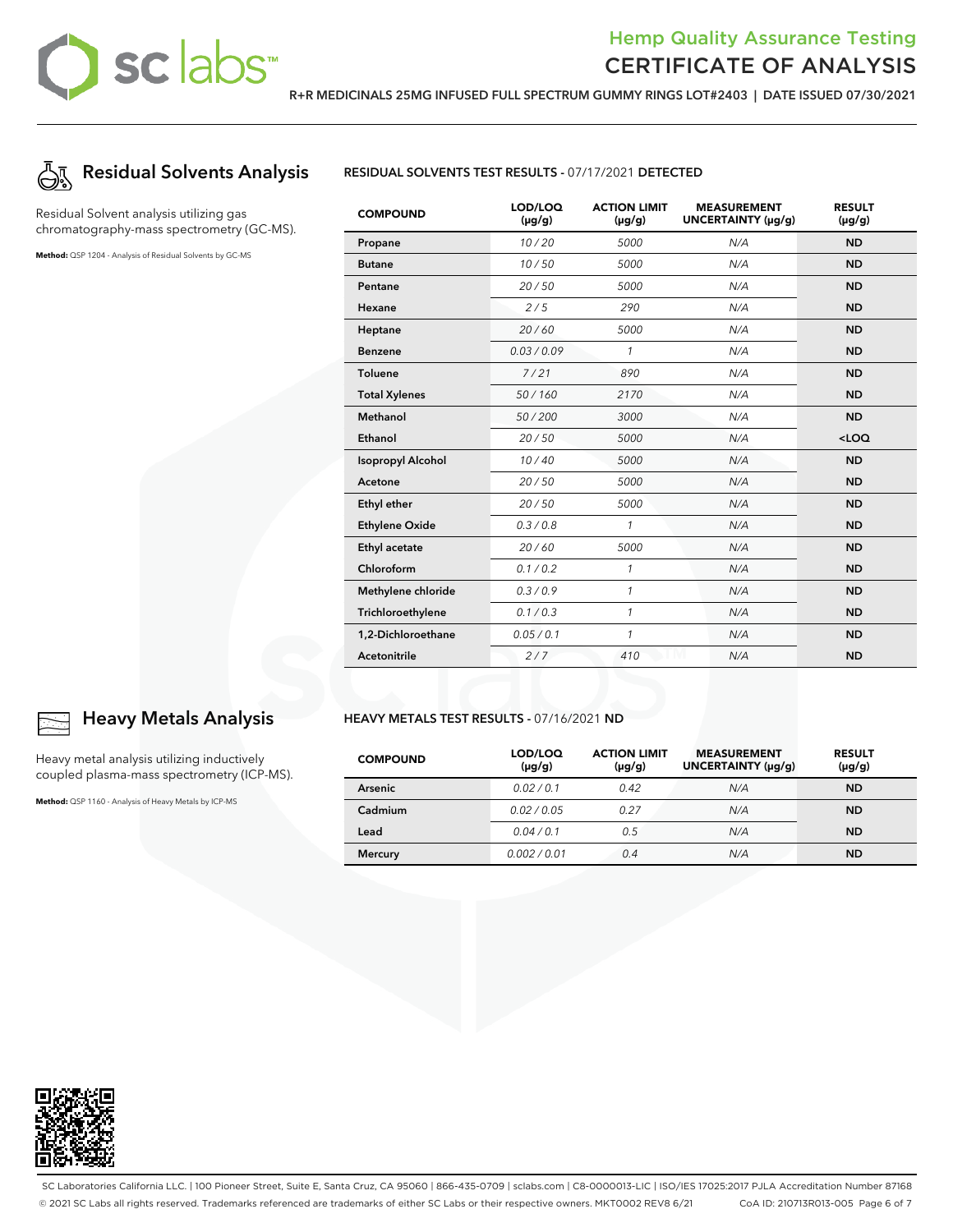## Hemp Quality Assurance Testing CERTIFICATE OF ANALYSIS

**R+R MEDICINALS 25MG INFUSED FULL SPECTRUM GUMMY RINGS LOT#2403 | DATE ISSUED 07/30/2021**



Residual Solvent analysis utilizing gas chromatography-mass spectrometry (GC-MS).

**Method:** QSP 1204 - Analysis of Residual Solvents by GC-MS



| <b>COMPOUND</b>          | LOD/LOQ<br>$(\mu g/g)$ | <b>ACTION LIMIT</b><br>$(\mu g/g)$ | <b>MEASUREMENT</b><br>UNCERTAINTY (µg/g) | <b>RESULT</b><br>$(\mu g/g)$ |
|--------------------------|------------------------|------------------------------------|------------------------------------------|------------------------------|
| Propane                  | 10/20                  | 5000                               | N/A                                      | <b>ND</b>                    |
| <b>Butane</b>            | 10/50                  | 5000                               | N/A                                      | <b>ND</b>                    |
| Pentane                  | 20/50                  | 5000                               | N/A                                      | <b>ND</b>                    |
| Hexane                   | 2/5                    | 290                                | N/A                                      | <b>ND</b>                    |
| Heptane                  | 20/60                  | 5000                               | N/A                                      | <b>ND</b>                    |
| <b>Benzene</b>           | 0.03/0.09              | $\mathcal{I}$                      | N/A                                      | <b>ND</b>                    |
| <b>Toluene</b>           | 7/21                   | 890                                | N/A                                      | <b>ND</b>                    |
| <b>Total Xylenes</b>     | 50/160                 | 2170                               | N/A                                      | <b>ND</b>                    |
| <b>Methanol</b>          | 50/200                 | 3000                               | N/A                                      | <b>ND</b>                    |
| Ethanol                  | 20/50                  | 5000                               | N/A                                      | $<$ LOQ                      |
| <b>Isopropyl Alcohol</b> | 10/40                  | 5000                               | N/A                                      | <b>ND</b>                    |
| Acetone                  | 20/50                  | 5000                               | N/A                                      | <b>ND</b>                    |
| <b>Ethyl ether</b>       | 20/50                  | 5000                               | N/A                                      | <b>ND</b>                    |
| <b>Ethylene Oxide</b>    | 0.3/0.8                | 1                                  | N/A                                      | <b>ND</b>                    |
| <b>Ethyl acetate</b>     | 20/60                  | 5000                               | N/A                                      | <b>ND</b>                    |
| Chloroform               | 0.1 / 0.2              | 1                                  | N/A                                      | <b>ND</b>                    |
| Methylene chloride       | 0.3/0.9                | $\mathcal{I}$                      | N/A                                      | <b>ND</b>                    |
| Trichloroethylene        | 0.1 / 0.3              | $\mathcal{I}$                      | N/A                                      | <b>ND</b>                    |
| 1,2-Dichloroethane       | 0.05 / 0.1             | $\mathcal{I}$                      | N/A                                      | <b>ND</b>                    |
| Acetonitrile             | 2/7                    | 410                                | N/A                                      | <b>ND</b>                    |

#### **HEAVY METALS TEST RESULTS -** 07/16/2021 **ND**

| <b>COMPOUND</b> | LOD/LOQ<br>$(\mu g/g)$ | <b>ACTION LIMIT</b><br>$(\mu g/g)$ | <b>MEASUREMENT</b><br>UNCERTAINTY (µg/g) | <b>RESULT</b><br>$(\mu g/g)$ |
|-----------------|------------------------|------------------------------------|------------------------------------------|------------------------------|
| Arsenic         | 0.02/0.1               | 0.42                               | N/A                                      | <b>ND</b>                    |
| Cadmium         | 0.02 / 0.05            | 0.27                               | N/A                                      | <b>ND</b>                    |
| Lead            | 0.04/0.1               | 0.5                                | N/A                                      | <b>ND</b>                    |
| <b>Mercury</b>  | 0.002/0.01             | 0.4                                | N/A                                      | <b>ND</b>                    |



## **Heavy Metals Analysis**

Heavy metal analysis utilizing inductively coupled plasma-mass spectrometry (ICP-MS).

**Method:** QSP 1160 - Analysis of Heavy Metals by ICP-MS



SC Laboratories California LLC. | 100 Pioneer Street, Suite E, Santa Cruz, CA 95060 | 866-435-0709 | sclabs.com | C8-0000013-LIC | ISO/IES 17025:2017 PJLA Accreditation Number 87168 © 2021 SC Labs all rights reserved. Trademarks referenced are trademarks of either SC Labs or their respective owners. MKT0002 REV8 6/21 CoA ID: 210713R013-005 Page 6 of 7